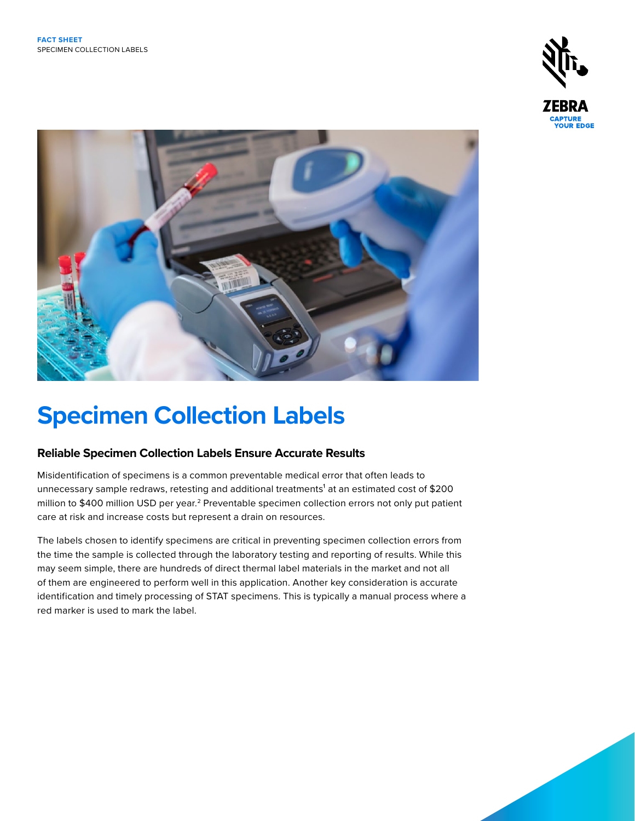



# **Specimen Collection Labels**

## **Reliable Specimen Collection Labels Ensure Accurate Results**

Misidentification of specimens is a common preventable medical error that often leads to unnecessary sample redraws, retesting and additional treatments<sup>1</sup> at an estimated cost of \$200 million to \$400 million USD per year.<sup>2</sup> Preventable specimen collection errors not only put patient care at risk and increase costs but represent a drain on resources.

The labels chosen to identify specimens are critical in preventing specimen collection errors from the time the sample is collected through the laboratory testing and reporting of results. While this may seem simple, there are hundreds of direct thermal label materials in the market and not all of them are engineered to perform well in this application. Another key consideration is accurate identification and timely processing of STAT specimens. This is typically a manual process where a red marker is used to mark the label.